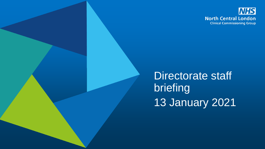

Directorate staff briefing 13 January 2021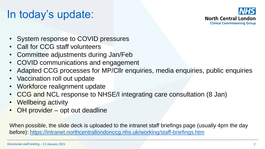## In today's update:



- System response to COVID pressures
- Call for CCG staff volunteers
- Committee adjustments during Jan/Feb
- COVID communications and engagement
- Adapted CCG processes for MP/Cllr enquiries, media enquiries, public enquiries
- Vaccination roll out update
- Workforce realignment update
- CCG and NCL response to NHSE/I integrating care consultation (8 Jan)
- Wellbeing activity
- OH provider opt out deadline

When possible, the slide deck is uploaded to the intranet staff briefings page (usually 4pm the day before): <https://intranet.northcentrallondonccg.nhs.uk/working/staff-briefings.htm>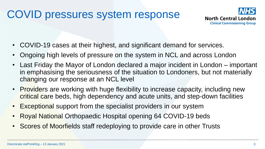## COVID pressures system response



- COVID-19 cases at their highest, and significant demand for services.
- Ongoing high levels of pressure on the system in NCL and across London
- Last Friday the Mayor of London declared a major incident in London important in emphasising the seriousness of the situation to Londoners, but not materially changing our response at an NCL level
- Providers are working with huge flexibility to increase capacity, including new critical care beds, high dependency and acute units, and step-down facilities
- Exceptional support from the specialist providers in our system
- Royal National Orthopaedic Hospital opening 64 COVID-19 beds
- Scores of Moorfields staff redeploying to provide care in other Trusts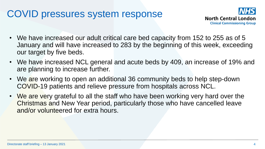### COVID pressures system response



- We have increased our adult critical care bed capacity from 152 to 255 as of 5 January and will have increased to 283 by the beginning of this week, exceeding our target by five beds.
- We have increased NCL general and acute beds by 409, an increase of 19% and are planning to increase further.
- We are working to open an additional 36 community beds to help step-down COVID-19 patients and relieve pressure from hospitals across NCL.
- We are very grateful to all the staff who have been working very hard over the Christmas and New Year period, particularly those who have cancelled leave and/or volunteered for extra hours.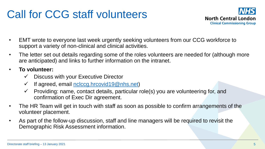## Call for CCG staff volunteers



- EMT wrote to everyone last week urgently seeking volunteers from our CCG workforce to support a variety of non-clinical and clinical activities.
- The letter set out details regarding some of the roles volunteers are needed for (although more are anticipated) and links to further information on the intranet.
- **To volunteer:**
	- $\checkmark$  Discuss with your Executive Director
	- $\checkmark$  If agreed, email [nclccg.hrcovid19@nhs.net\)](mailto:nclccg.hrcovid19@nhs.net)
	- $\checkmark$  Providing: name, contact details, particular role(s) you are volunteering for, and confirmation of Exec Dir agreement.
- The HR Team will get in touch with staff as soon as possible to confirm arrangements of the volunteer placement.
- As part of the follow-up discussion, staff and line managers will be required to revisit the Demographic Risk Assessment information.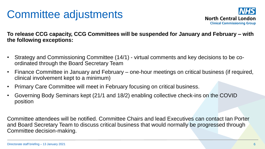## Committee adjustments



**To release CCG capacity, CCG Committees will be suspended for January and February – with the following exceptions:**

- Strategy and Commissioning Committee (14/1) virtual comments and key decisions to be coordinated through the Board Secretary Team
- Finance Committee in January and February one-hour meetings on critical business (if required, clinical involvement kept to a minimum)
- Primary Care Committee will meet in February focusing on critical business.
- Governing Body Seminars kept (21/1 and 18/2) enabling collective check-ins on the COVID position

Committee attendees will be notified. Committee Chairs and lead Executives can contact Ian Porter and Board Secretary Team to discuss critical business that would normally be progressed through Committee decision-making.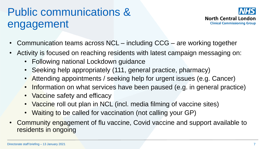## Public communications & engagement



- Communication teams across NCL including CCG are working together
- Activity is focused on reaching residents with latest campaign messaging on:
	- Following national Lockdown guidance
	- Seeking help appropriately (111, general practice, pharmacy)
	- Attending appointments / seeking help for urgent issues (e.g. Cancer)
	- Information on what services have been paused (e.g. in general practice)
	- Vaccine safety and efficacy
	- Vaccine roll out plan in NCL (incl. media filming of vaccine sites)
	- Waiting to be called for vaccination (not calling your GP)
- Community engagement of flu vaccine, Covid vaccine and support available to residents in ongoing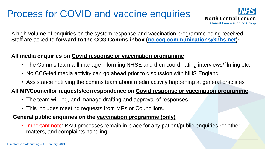## Process for COVID and vaccine enquiries



A high volume of enquiries on the system response and vaccination programme being received. Staff are asked to **forward to the CCG Comms inbox ([nclccg.communications@nhs.net](mailto:nclccg.communications@nhs.net)):**

### **All media enquiries on Covid response or vaccination programme**

- The Comms team will manage informing NHSE and then coordinating interviews/filming etc.
- No CCG-led media activity can go ahead prior to discussion with NHS England
- Assistance notifying the comms team about media activity happening at general practices

#### **All MP/Councillor requests/correspondence on Covid response or vaccination programme**

- The team will log, and manage drafting and approval of responses.
- This includes meeting requests from MPs or Councillors.

#### **General public enquiries on the vaccination programme (only)**

• Important note: BAU processes remain in place for any patient/public enquiries re: other matters, and complaints handling.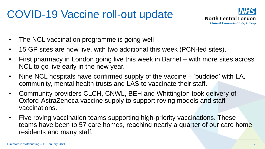## COVID-19 Vaccine roll-out update



- The NCL vaccination programme is going well
- 15 GP sites are now live, with two additional this week (PCN-led sites).
- First pharmacy in London going live this week in Barnet with more sites across NCL to go live early in the new year.
- Nine NCL hospitals have confirmed supply of the vaccine 'buddied' with LA, community, mental health trusts and LAS to vaccinate their staff.
- Community providers CLCH, CNWL, BEH and Whittington took delivery of Oxford-AstraZeneca vaccine supply to support roving models and staff vaccinations.
- Five roving vaccination teams supporting high-priority vaccinations. These teams have been to 57 care homes, reaching nearly a quarter of our care home residents and many staff.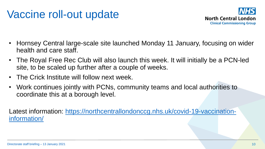## Vaccine roll-out update



- Hornsey Central large-scale site launched Monday 11 January, focusing on wider health and care staff.
- The Royal Free Rec Club will also launch this week. It will initially be a PCN-led site, to be scaled up further after a couple of weeks.
- The Crick Institute will follow next week.
- Work continues jointly with PCNs, community teams and local authorities to coordinate this at a borough level.

[Latest information: https://northcentrallondonccg.nhs.uk/covid-19-vaccination](https://northcentrallondonccg.nhs.uk/covid-19-vaccination-information/)information/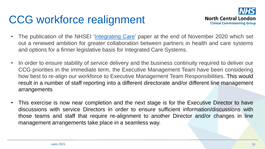## CCG workforce realignment



- The publication of the NHSEI ['Integrating](https://www.england.nhs.uk/wp-content/uploads/2020/11/261120-item-5-integrating-care-next-steps-for-integrated-care-systems.pdf) Care' paper at the end of November 2020 which set out a renewed ambition for greater collaboration between partners in health and care systems and options for a firmer legislative basis for Integrated Care Systems.
- In order to ensure stability of service delivery and the business continuity required to deliver our CCG priorities in the immediate term, the Executive Management Team have been considering how best to re-align our workforce to Executive Management Team Responsibilities. This would result in a number of staff reporting into a different directorate and/or different line management arrangements
- This exercise is now near completion and the next stage is for the Executive Director to have discussions with service Directors in order to ensure sufficient information/discussions with those teams and staff that require re-alignment to another Director and/or changes in line management arrangements take place in a seamless way.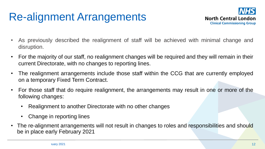## Re-alignment Arrangements



- As previously described the realignment of staff will be achieved with minimal change and disruption.
- For the majority of our staff, no realignment changes will be required and they will remain in their current Directorate, with no changes to reporting lines.
- The realignment arrangements include those staff within the CCG that are currently employed on a temporary Fixed Term Contract.
- For those staff that do require realignment, the arrangements may result in one or more of the following changes:
	- Realignment to another Directorate with no other changes
	- Change in reporting lines
- The re-alignment arrangements will not result in changes to roles and responsibilities and should be in place early February 2021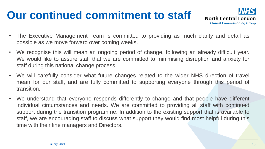## **Our continued commitment to staff**



- The Executive Management Team is committed to providing as much clarity and detail as possible as we move forward over coming weeks.
- We recognise this will mean an ongoing period of change, following an already difficult year. We would like to assure staff that we are committed to minimising disruption and anxiety for staff during this national change process.
- We will carefully consider what future changes related to the wider NHS direction of travel mean for our staff, and are fully committed to supporting everyone through this period of transition.
- We understand that everyone responds differently to change and that people have different individual circumstances and needs. We are committed to providing all staff with continued support during the transition programme. In addition to the existing support that is available to staff, we are encouraging staff to discuss what support they would find most helpful during this time with their line managers and Directors.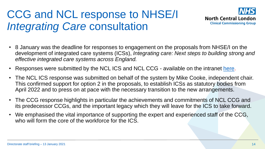## CCG and NCL response to NHSE/I *Integrating Care* consultation



- 8 January was the deadline for responses to engagement on the proposals from NHSE/I on the development of integrated care systems (ICSs), *Integrating care: Next steps to building strong and effective integrated care systems across England.*
- Responses were submitted by the NCL ICS and NCL CCG available on the intranet [here](https://intranet.northcentrallondonccg.nhs.uk/working/ncl-change-programme/).
- The NCL ICS response was submitted on behalf of the system by Mike Cooke, independent chair. This confirmed support for option 2 in the proposals, to establish ICSs as statutory bodies from April 2022 and to press on at pace with the necessary transition to the new arrangements.
- The CCG response highlights in particular the achievements and commitments of NCL CCG and its predecessor CCGs, and the important legacy which they will leave for the ICS to take forward.
- We emphasised the vital importance of supporting the expert and experienced staff of the CCG, who will form the core of the workforce for the ICS.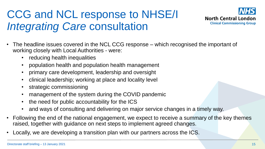## CCG and NCL response to NHSE/I *Integrating Care* consultation



- The headline issues covered in the NCL CCG response which recognised the important of working closely with Local Authorities - were:
	- reducing health inequalities
	- population health and population health management
	- primary care development, leadership and oversight
	- clinical leadership; working at place and locality level
	- strategic commissioning
	- management of the system during the COVID pandemic
	- the need for public accountability for the ICS
	- and ways of consulting and delivering on major service changes in a timely way.
- Following the end of the national engagement, we expect to receive a summary of the key themes raised, together with guidance on next steps to implement agreed changes.
- Locally, we are developing a transition plan with our partners across the ICS.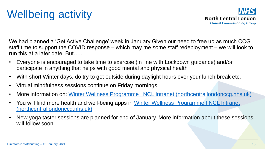# Wellbeing activity



We had planned a 'Get Active Challenge' week in January Given our need to free up as much CCG staff time to support the COVID response – which may me some staff redeployment – we will look to run this at a later date. But…..

- Everyone is encouraged to take time to exercise (in line with Lockdown guidance) and/or participate in anything that helps with good mental and physical health
- With short Winter days, do try to get outside during daylight hours over your lunch break etc.
- Virtual mindfulness sessions continue on Friday mornings
- More information on: [Winter Wellness Programme | NCL Intranet \(northcentrallondonccg.nhs.uk\)](https://intranet.northcentrallondonccg.nhs.uk/health/winter-wellness-programme.htm)
- You will find more health and well-being apps in Winter Wellness Programme | NCL Intranet (northcentrallondonccg.nhs.uk)
- New yoga taster sessions are planned for end of January. More information about these sessions will follow soon.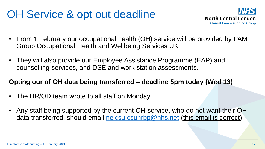## OH Service & opt out deadline



- From 1 February our occupational health (OH) service will be provided by PAM Group Occupational Health and Wellbeing Services UK
- They will also provide our Employee Assistance Programme (EAP) and counselling services, and DSE and work station assessments.

### **Opting our of OH data being transferred – deadline 5pm today (Wed 13)**

- The HR/OD team wrote to all staff on Monday
- Any staff being supported by the current OH service, who do not want their OH data transferred, should email [nelcsu.csuhrbp@nhs.net](mailto:nelcsu.csuhrbp@nhs.net) (this email is correct)